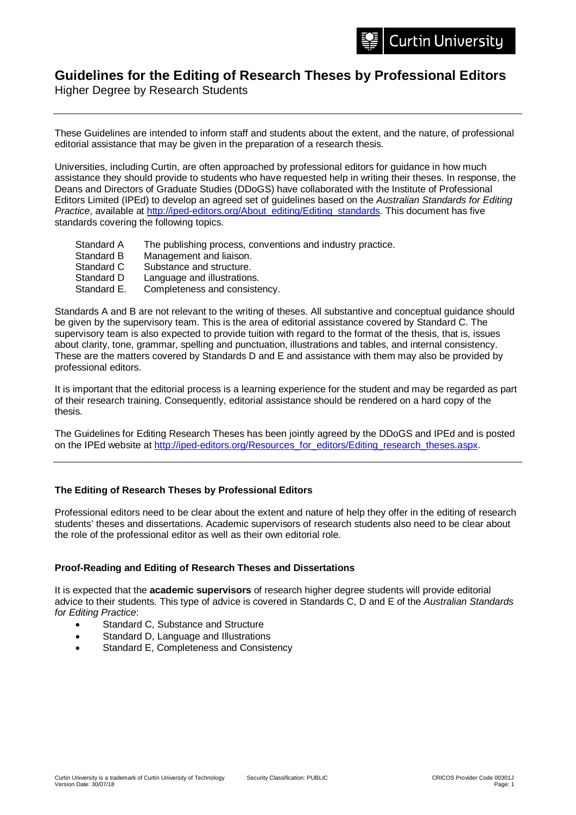## **Guidelines for the Editing of Research Theses by Professional Editors**

Higher Degree by Research Students

These Guidelines are intended to inform staff and students about the extent, and the nature, of professional editorial assistance that may be given in the preparation of a research thesis.

Universities, including Curtin, are often approached by professional editors for guidance in how much assistance they should provide to students who have requested help in writing their theses. In response, the Deans and Directors of Graduate Studies (DDoGS) have collaborated with the Institute of Professional Editors Limited (IPEd) to develop an agreed set of guidelines based on the *Australian Standards for Editing Practice*, available at [http://iped-editors.org/About\\_editing/Editing\\_standards.](http://iped-editors.org/About_editing/Editing_standards) This document has five standards covering the following topics.

- Standard A The publishing process, conventions and industry practice.<br>Standard B Management and liaison.
- Standard B Management and liaison.<br>Standard C Substance and structure.
- Substance and structure.
- Standard D Language and illustrations.
- Standard E. Completeness and consistency.

Standards A and B are not relevant to the writing of theses. All substantive and conceptual guidance should be given by the supervisory team. This is the area of editorial assistance covered by Standard C. The supervisory team is also expected to provide tuition with regard to the format of the thesis, that is, issues about clarity, tone, grammar, spelling and punctuation, illustrations and tables, and internal consistency. These are the matters covered by Standards D and E and assistance with them may also be provided by professional editors.

It is important that the editorial process is a learning experience for the student and may be regarded as part of their research training. Consequently, editorial assistance should be rendered on a hard copy of the thesis.

The Guidelines for Editing Research Theses has been jointly agreed by the DDoGS and IPEd and is posted on the IPEd website at [http://iped-editors.org/Resources\\_for\\_editors/Editing\\_research\\_theses.aspx.](http://iped-editors.org/Resources_for_editors/Editing_research_theses.aspx)

## **The Editing of Research Theses by Professional Editors**

Professional editors need to be clear about the extent and nature of help they offer in the editing of research students' theses and dissertations. Academic supervisors of research students also need to be clear about the role of the professional editor as well as their own editorial role.

## **Proof-Reading and Editing of Research Theses and Dissertations**

It is expected that the **academic supervisors** of research higher degree students will provide editorial advice to their students. This type of advice is covered in Standards C, D and E of the *Australian Standards for Editing Practice*:

- Standard C, Substance and Structure
- Standard D, Language and Illustrations
- Standard E, Completeness and Consistency